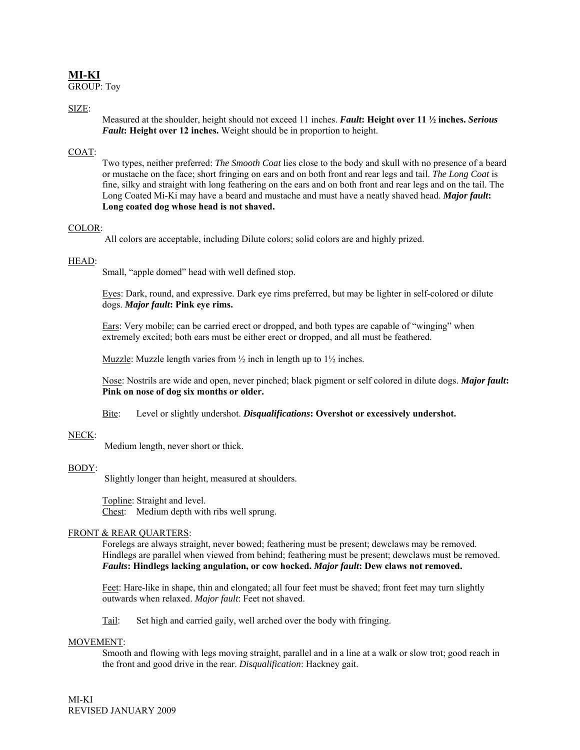# **MI-KI**

GROUP: Toy

## SIZE:

Measured at the shoulder, height should not exceed 11 inches. *Fault***: Height over 11 ½ inches.** *Serious Fault***: Height over 12 inches.** Weight should be in proportion to height.

### COAT:

Two types, neither preferred: *The Smooth Coat* lies close to the body and skull with no presence of a beard or mustache on the face; short fringing on ears and on both front and rear legs and tail. *The Long Coat* is fine, silky and straight with long feathering on the ears and on both front and rear legs and on the tail. The Long Coated Mi-Ki may have a beard and mustache and must have a neatly shaved head. *Major fault***: Long coated dog whose head is not shaved.** 

#### COLOR:

All colors are acceptable, including Dilute colors; solid colors are and highly prized.

#### HEAD:

Small, "apple domed" head with well defined stop.

Eyes: Dark, round, and expressive. Dark eye rims preferred, but may be lighter in self-colored or dilute dogs. *Major fault***: Pink eye rims.** 

Ears: Very mobile; can be carried erect or dropped, and both types are capable of "winging" when extremely excited; both ears must be either erect or dropped, and all must be feathered.

Muzzle: Muzzle length varies from  $\frac{1}{2}$  inch in length up to  $1\frac{1}{2}$  inches.

Nose: Nostrils are wide and open, never pinched; black pigment or self colored in dilute dogs. *Major fault***: Pink on nose of dog six months or older.** 

### Bite: Level or slightly undershot. *Disqualifications***: Overshot or excessively undershot.**

#### NECK:

Medium length, never short or thick.

### BODY:

Slightly longer than height, measured at shoulders.

Topline: Straight and level. Chest: Medium depth with ribs well sprung.

### FRONT & REAR QUARTERS:

Forelegs are always straight, never bowed; feathering must be present; dewclaws may be removed. Hindlegs are parallel when viewed from behind; feathering must be present; dewclaws must be removed. *Faults***: Hindlegs lacking angulation, or cow hocked.** *Major fault***: Dew claws not removed.**

Feet: Hare-like in shape, thin and elongated; all four feet must be shaved; front feet may turn slightly outwards when relaxed. *Major fault*: Feet not shaved.

Tail: Set high and carried gaily, well arched over the body with fringing.

### MOVEMENT:

Smooth and flowing with legs moving straight, parallel and in a line at a walk or slow trot; good reach in the front and good drive in the rear. *Disqualification*: Hackney gait.